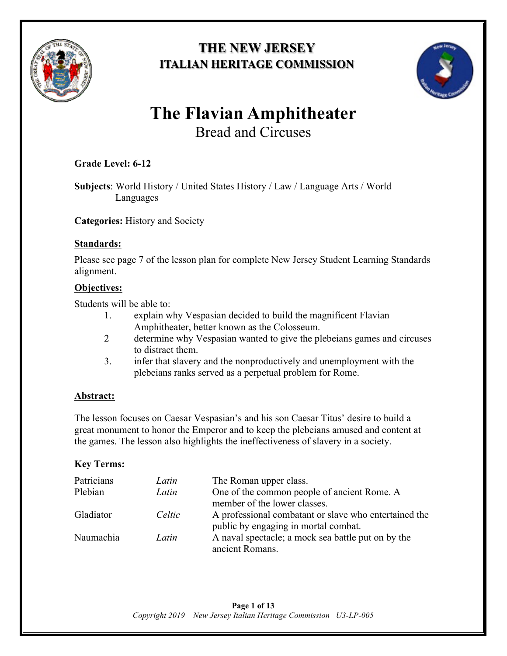

# **THE NEW JERSEY ITALIAN HERITAGE COMMISSION**



# **The Flavian Amphitheater**  Bread and Circuses

# **Grade Level: 6-12**

**Subjects**: World History / United States History / Law / Language Arts / World Languages

**Categories:** History and Society

### **Standards:**

Please see page 7 of the lesson plan for complete New Jersey Student Learning Standards alignment.

### **Objectives:**

Students will be able to:

- 1. explain why Vespasian decided to build the magnificent Flavian Amphitheater, better known as the Colosseum.
- 2 determine why Vespasian wanted to give the plebeians games and circuses to distract them.
- 3. infer that slavery and the nonproductively and unemployment with the plebeians ranks served as a perpetual problem for Rome.

## **Abstract:**

The lesson focuses on Caesar Vespasian's and his son Caesar Titus' desire to build a great monument to honor the Emperor and to keep the plebeians amused and content at the games. The lesson also highlights the ineffectiveness of slavery in a society.

## **Key Terms:**

| Patricians | Latin  | The Roman upper class.                                |
|------------|--------|-------------------------------------------------------|
| Plebian    | Latin  | One of the common people of ancient Rome. A           |
|            |        | member of the lower classes.                          |
| Gladiator  | Celtic | A professional combatant or slave who entertained the |
|            |        | public by engaging in mortal combat.                  |
| Naumachia  | Latin  | A naval spectacle; a mock sea battle put on by the    |
|            |        | ancient Romans.                                       |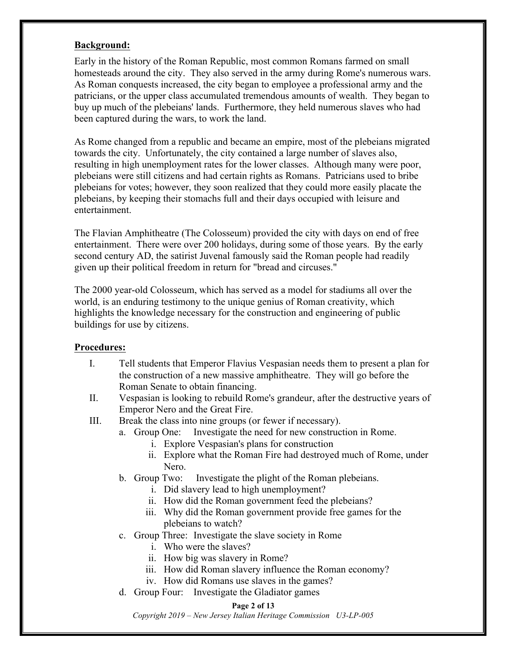#### **Background:**

Early in the history of the Roman Republic, most common Romans farmed on small homesteads around the city. They also served in the army during Rome's numerous wars. As Roman conquests increased, the city began to employee a professional army and the patricians, or the upper class accumulated tremendous amounts of wealth. They began to buy up much of the plebeians' lands. Furthermore, they held numerous slaves who had been captured during the wars, to work the land.

As Rome changed from a republic and became an empire, most of the plebeians migrated towards the city. Unfortunately, the city contained a large number of slaves also, resulting in high unemployment rates for the lower classes. Although many were poor, plebeians were still citizens and had certain rights as Romans. Patricians used to bribe plebeians for votes; however, they soon realized that they could more easily placate the plebeians, by keeping their stomachs full and their days occupied with leisure and entertainment.

The Flavian Amphitheatre (The Colosseum) provided the city with days on end of free entertainment. There were over 200 holidays, during some of those years. By the early second century AD, the satirist Juvenal famously said the Roman people had readily given up their political freedom in return for "bread and circuses."

The 2000 year-old Colosseum, which has served as a model for stadiums all over the world, is an enduring testimony to the unique genius of Roman creativity, which highlights the knowledge necessary for the construction and engineering of public buildings for use by citizens.

#### **Procedures:**

- I. Tell students that Emperor Flavius Vespasian needs them to present a plan for the construction of a new massive amphitheatre. They will go before the Roman Senate to obtain financing.
- II. Vespasian is looking to rebuild Rome's grandeur, after the destructive years of Emperor Nero and the Great Fire.
- III. Break the class into nine groups (or fewer if necessary).
	- a. Group One: Investigate the need for new construction in Rome.
		- i. Explore Vespasian's plans for construction
		- ii. Explore what the Roman Fire had destroyed much of Rome, under Nero.
	- b. Group Two: Investigate the plight of the Roman plebeians.
		- i. Did slavery lead to high unemployment?
		- ii. How did the Roman government feed the plebeians?
		- iii. Why did the Roman government provide free games for the plebeians to watch?
	- c. Group Three: Investigate the slave society in Rome
		- i. Who were the slaves?
		- ii. How big was slavery in Rome?
		- iii. How did Roman slavery influence the Roman economy?
		- iv. How did Romans use slaves in the games?
	- d. Group Four: Investigate the Gladiator games

#### **Page 2 of 13**

*Copyright 2019 – New Jersey Italian Heritage Commission U3-LP-005*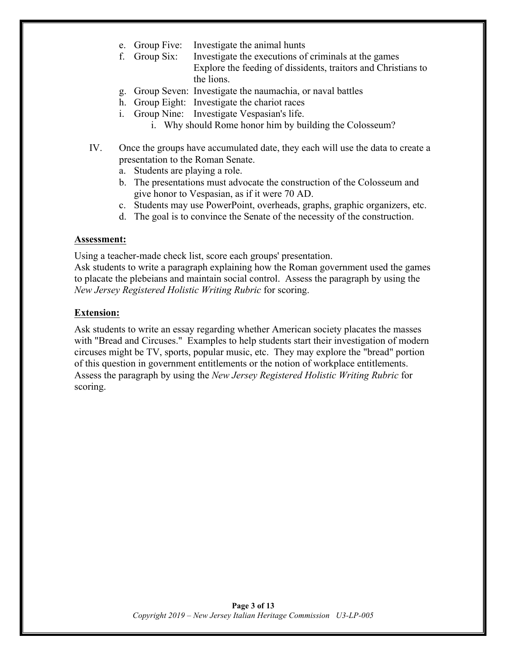- e. Group Five: Investigate the animal hunts
- f. Group Six: Investigate the executions of criminals at the games Explore the feeding of dissidents, traitors and Christians to the lions.
- g. Group Seven: Investigate the naumachia, or naval battles
- h. Group Eight: Investigate the chariot races
- i. Group Nine: Investigate Vespasian's life.
	- i. Why should Rome honor him by building the Colosseum?
- IV. Once the groups have accumulated date, they each will use the data to create a presentation to the Roman Senate.
	- a. Students are playing a role.
	- b. The presentations must advocate the construction of the Colosseum and give honor to Vespasian, as if it were 70 AD.
	- c. Students may use PowerPoint, overheads, graphs, graphic organizers, etc.
	- d. The goal is to convince the Senate of the necessity of the construction.

#### **Assessment:**

Using a teacher-made check list, score each groups' presentation.

Ask students to write a paragraph explaining how the Roman government used the games to placate the plebeians and maintain social control. Assess the paragraph by using the *New Jersey Registered Holistic Writing Rubric* for scoring.

#### **Extension:**

Ask students to write an essay regarding whether American society placates the masses with "Bread and Circuses." Examples to help students start their investigation of modern circuses might be TV, sports, popular music, etc. They may explore the "bread" portion of this question in government entitlements or the notion of workplace entitlements. Assess the paragraph by using the *New Jersey Registered Holistic Writing Rubric* for scoring.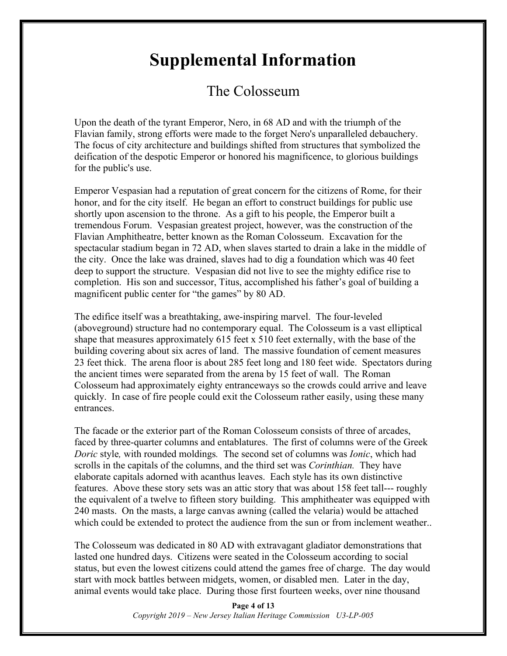# **Supplemental Information**

# The Colosseum

Upon the death of the tyrant Emperor, Nero, in 68 AD and with the triumph of the Flavian family, strong efforts were made to the forget Nero's unparalleled debauchery. The focus of city architecture and buildings shifted from structures that symbolized the deification of the despotic Emperor or honored his magnificence, to glorious buildings for the public's use.

Emperor Vespasian had a reputation of great concern for the citizens of Rome, for their honor, and for the city itself. He began an effort to construct buildings for public use shortly upon ascension to the throne. As a gift to his people, the Emperor built a tremendous Forum. Vespasian greatest project, however, was the construction of the Flavian Amphitheatre, better known as the Roman Colosseum. Excavation for the spectacular stadium began in 72 AD, when slaves started to drain a lake in the middle of the city. Once the lake was drained, slaves had to dig a foundation which was 40 feet deep to support the structure. Vespasian did not live to see the mighty edifice rise to completion. His son and successor, Titus, accomplished his father's goal of building a magnificent public center for "the games" by 80 AD.

The edifice itself was a breathtaking, awe-inspiring marvel. The four-leveled (aboveground) structure had no contemporary equal. The Colosseum is a vast elliptical shape that measures approximately 615 feet x 510 feet externally, with the base of the building covering about six acres of land. The massive foundation of cement measures 23 feet thick. The arena floor is about 285 feet long and 180 feet wide. Spectators during the ancient times were separated from the arena by 15 feet of wall. The Roman Colosseum had approximately eighty entranceways so the crowds could arrive and leave quickly. In case of fire people could exit the Colosseum rather easily, using these many entrances.

The facade or the exterior part of the Roman Colosseum consists of three of arcades, faced by three-quarter columns and entablatures. The first of columns were of the Greek *Doric* style*,* with rounded moldings*.* The second set of columns was *Ionic*, which had scrolls in the capitals of the columns, and the third set was *Corinthian.* They have elaborate capitals adorned with acanthus leaves. Each style has its own distinctive features. Above these story sets was an attic story that was about 158 feet tall--- roughly the equivalent of a twelve to fifteen story building. This amphitheater was equipped with 240 masts. On the masts, a large canvas awning (called the velaria) would be attached which could be extended to protect the audience from the sun or from inclement weather..

The Colosseum was dedicated in 80 AD with extravagant gladiator demonstrations that lasted one hundred days. Citizens were seated in the Colosseum according to social status, but even the lowest citizens could attend the games free of charge. The day would start with mock battles between midgets, women, or disabled men. Later in the day, animal events would take place. During those first fourteen weeks, over nine thousand

> **Page 4 of 13** *Copyright 2019 – New Jersey Italian Heritage Commission U3-LP-005*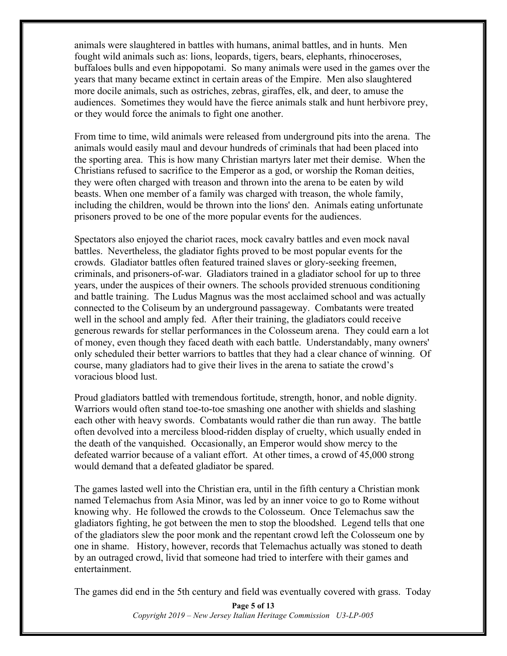animals were slaughtered in battles with humans, animal battles, and in hunts. Men fought wild animals such as: lions, leopards, tigers, bears, elephants, rhinoceroses, buffaloes bulls and even hippopotami. So many animals were used in the games over the years that many became extinct in certain areas of the Empire. Men also slaughtered more docile animals, such as ostriches, zebras, giraffes, elk, and deer, to amuse the audiences. Sometimes they would have the fierce animals stalk and hunt herbivore prey, or they would force the animals to fight one another.

From time to time, wild animals were released from underground pits into the arena. The animals would easily maul and devour hundreds of criminals that had been placed into the sporting area. This is how many Christian martyrs later met their demise. When the Christians refused to sacrifice to the Emperor as a god, or worship the Roman deities, they were often charged with treason and thrown into the arena to be eaten by wild beasts. When one member of a family was charged with treason, the whole family, including the children, would be thrown into the lions' den. Animals eating unfortunate prisoners proved to be one of the more popular events for the audiences.

Spectators also enjoyed the chariot races, mock cavalry battles and even mock naval battles. Nevertheless, the gladiator fights proved to be most popular events for the crowds. Gladiator battles often featured trained slaves or glory-seeking freemen, criminals, and prisoners-of-war. Gladiators trained in a gladiator school for up to three years, under the auspices of their owners. The schools provided strenuous conditioning and battle training. The Ludus Magnus was the most acclaimed school and was actually connected to the Coliseum by an underground passageway. Combatants were treated well in the school and amply fed. After their training, the gladiators could receive generous rewards for stellar performances in the Colosseum arena. They could earn a lot of money, even though they faced death with each battle. Understandably, many owners' only scheduled their better warriors to battles that they had a clear chance of winning. Of course, many gladiators had to give their lives in the arena to satiate the crowd's voracious blood lust.

Proud gladiators battled with tremendous fortitude, strength, honor, and noble dignity. Warriors would often stand toe-to-toe smashing one another with shields and slashing each other with heavy swords. Combatants would rather die than run away. The battle often devolved into a merciless blood-ridden display of cruelty, which usually ended in the death of the vanquished. Occasionally, an Emperor would show mercy to the defeated warrior because of a valiant effort. At other times, a crowd of 45,000 strong would demand that a defeated gladiator be spared.

The games lasted well into the Christian era, until in the fifth century a Christian monk named Telemachus from Asia Minor, was led by an inner voice to go to Rome without knowing why. He followed the crowds to the Colosseum. Once Telemachus saw the gladiators fighting, he got between the men to stop the bloodshed. Legend tells that one of the gladiators slew the poor monk and the repentant crowd left the Colosseum one by one in shame. History, however, records that Telemachus actually was stoned to death by an outraged crowd, livid that someone had tried to interfere with their games and entertainment.

The games did end in the 5th century and field was eventually covered with grass. Today

**Page 5 of 13** *Copyright 2019 – New Jersey Italian Heritage Commission U3-LP-005*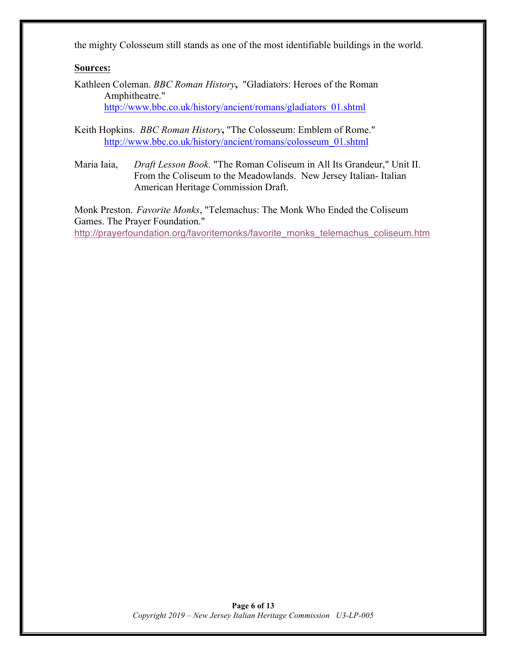the mighty Colosseum still stands as one of the most identifiable buildings in the world.

#### **Sources:**

Kathleen Coleman. *BBC Roman History***,** "Gladiators: Heroes of the Roman Amphitheatre." http://www.bbc.co.uk/history/ancient/romans/gladiators\_01.shtml

Keith Hopkins. *BBC Roman History***,** "The Colosseum: Emblem of Rome." http://www.bbc.co.uk/history/ancient/romans/colosseum\_01.shtml

Maria Iaia, *Draft Lesson Book.* "The Roman Coliseum in All Its Grandeur," Unit II. From the Coliseum to the Meadowlands. New Jersey Italian- Italian American Heritage Commission Draft.

Monk Preston. *Favorite Monks*, "Telemachus: The Monk Who Ended the Coliseum Games. The Prayer Foundation." http://prayerfoundation.org/favoritemonks/favorite\_monks\_telemachus\_coliseum.htm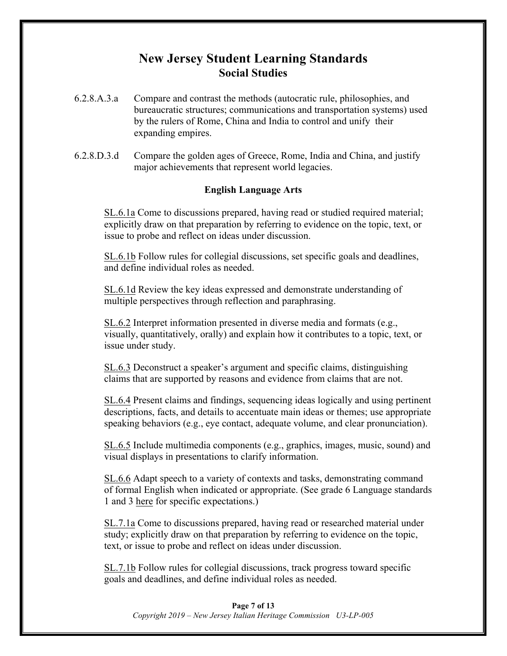# **New Jersey Student Learning Standards Social Studies**

- 6.2.8.A.3.a Compare and contrast the methods (autocratic rule, philosophies, and bureaucratic structures; communications and transportation systems) used by the rulers of Rome, China and India to control and unify their expanding empires.
- 6.2.8.D.3.d Compare the golden ages of Greece, Rome, India and China, and justify major achievements that represent world legacies.

#### **English Language Arts**

SL.6.1a Come to discussions prepared, having read or studied required material; explicitly draw on that preparation by referring to evidence on the topic, text, or issue to probe and reflect on ideas under discussion.

SL.6.1b Follow rules for collegial discussions, set specific goals and deadlines, and define individual roles as needed.

SL.6.1d Review the key ideas expressed and demonstrate understanding of multiple perspectives through reflection and paraphrasing.

SL.6.2 Interpret information presented in diverse media and formats (e.g., visually, quantitatively, orally) and explain how it contributes to a topic, text, or issue under study.

SL.6.3 Deconstruct a speaker's argument and specific claims, distinguishing claims that are supported by reasons and evidence from claims that are not.

SL.6.4 Present claims and findings, sequencing ideas logically and using pertinent descriptions, facts, and details to accentuate main ideas or themes; use appropriate speaking behaviors (e.g., eye contact, adequate volume, and clear pronunciation).

SL.6.5 Include multimedia components (e.g., graphics, images, music, sound) and visual displays in presentations to clarify information.

SL.6.6 Adapt speech to a variety of contexts and tasks, demonstrating command of formal English when indicated or appropriate. (See grade 6 Language standards 1 and 3 here for specific expectations.)

SL.7.1a Come to discussions prepared, having read or researched material under study; explicitly draw on that preparation by referring to evidence on the topic, text, or issue to probe and reflect on ideas under discussion.

SL.7.1b Follow rules for collegial discussions, track progress toward specific goals and deadlines, and define individual roles as needed.

#### **Page 7 of 13** *Copyright 2019 – New Jersey Italian Heritage Commission U3-LP-005*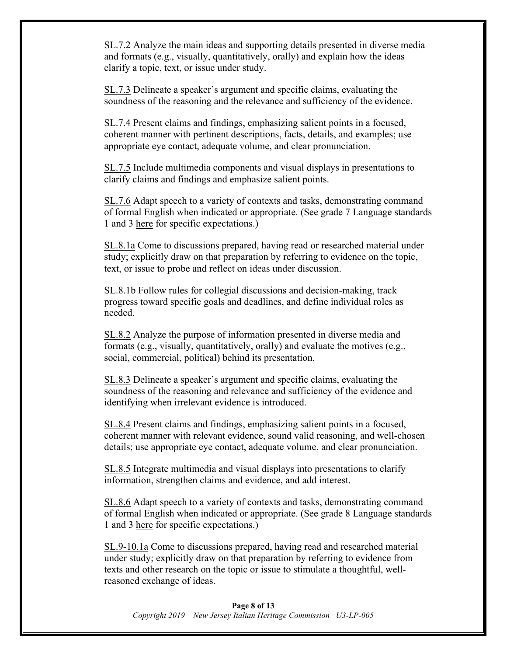SL.7.2 Analyze the main ideas and supporting details presented in diverse media and formats (e.g., visually, quantitatively, orally) and explain how the ideas clarify a topic, text, or issue under study.

SL.7.3 Delineate a speaker's argument and specific claims, evaluating the soundness of the reasoning and the relevance and sufficiency of the evidence.

SL.7.4 Present claims and findings, emphasizing salient points in a focused, coherent manner with pertinent descriptions, facts, details, and examples; use appropriate eye contact, adequate volume, and clear pronunciation.

SL.7.5 Include multimedia components and visual displays in presentations to clarify claims and findings and emphasize salient points.

SL.7.6 Adapt speech to a variety of contexts and tasks, demonstrating command of formal English when indicated or appropriate. (See grade 7 Language standards 1 and 3 here for specific expectations.)

SL.8.1a Come to discussions prepared, having read or researched material under study; explicitly draw on that preparation by referring to evidence on the topic, text, or issue to probe and reflect on ideas under discussion.

SL.8.1b Follow rules for collegial discussions and decision-making, track progress toward specific goals and deadlines, and define individual roles as needed.

SL.8.2 Analyze the purpose of information presented in diverse media and formats (e.g., visually, quantitatively, orally) and evaluate the motives (e.g., social, commercial, political) behind its presentation.

SL.8.3 Delineate a speaker's argument and specific claims, evaluating the soundness of the reasoning and relevance and sufficiency of the evidence and identifying when irrelevant evidence is introduced.

SL.8.4 Present claims and findings, emphasizing salient points in a focused, coherent manner with relevant evidence, sound valid reasoning, and well-chosen details; use appropriate eye contact, adequate volume, and clear pronunciation.

SL.8.5 Integrate multimedia and visual displays into presentations to clarify information, strengthen claims and evidence, and add interest.

SL.8.6 Adapt speech to a variety of contexts and tasks, demonstrating command of formal English when indicated or appropriate. (See grade 8 Language standards 1 and 3 here for specific expectations.)

SL.9-10.1a Come to discussions prepared, having read and researched material under study; explicitly draw on that preparation by referring to evidence from texts and other research on the topic or issue to stimulate a thoughtful, wellreasoned exchange of ideas.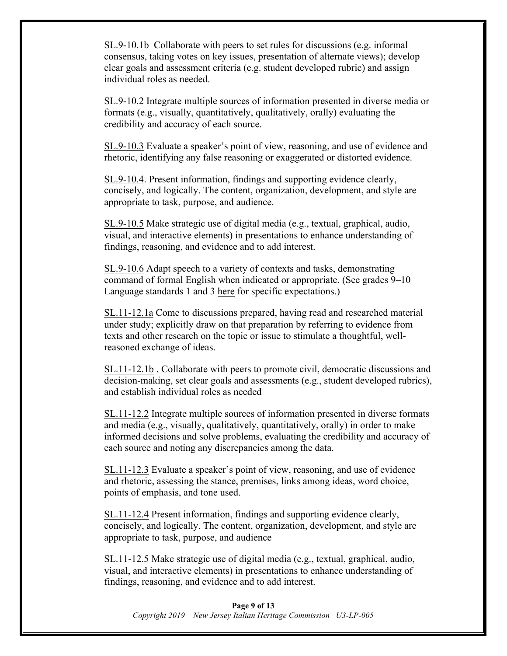SL.9-10.1b Collaborate with peers to set rules for discussions (e.g. informal consensus, taking votes on key issues, presentation of alternate views); develop clear goals and assessment criteria (e.g. student developed rubric) and assign individual roles as needed.

SL.9-10.2 Integrate multiple sources of information presented in diverse media or formats (e.g., visually, quantitatively, qualitatively, orally) evaluating the credibility and accuracy of each source.

SL.9-10.3 Evaluate a speaker's point of view, reasoning, and use of evidence and rhetoric, identifying any false reasoning or exaggerated or distorted evidence.

SL.9-10.4. Present information, findings and supporting evidence clearly, concisely, and logically. The content, organization, development, and style are appropriate to task, purpose, and audience.

SL.9-10.5 Make strategic use of digital media (e.g., textual, graphical, audio, visual, and interactive elements) in presentations to enhance understanding of findings, reasoning, and evidence and to add interest.

SL.9-10.6 Adapt speech to a variety of contexts and tasks, demonstrating command of formal English when indicated or appropriate. (See grades 9–10 Language standards 1 and 3 here for specific expectations.)

SL.11-12.1a Come to discussions prepared, having read and researched material under study; explicitly draw on that preparation by referring to evidence from texts and other research on the topic or issue to stimulate a thoughtful, wellreasoned exchange of ideas.

SL.11-12.1b . Collaborate with peers to promote civil, democratic discussions and decision-making, set clear goals and assessments (e.g., student developed rubrics), and establish individual roles as needed

SL.11-12.2 Integrate multiple sources of information presented in diverse formats and media (e.g., visually, qualitatively, quantitatively, orally) in order to make informed decisions and solve problems, evaluating the credibility and accuracy of each source and noting any discrepancies among the data.

SL.11-12.3 Evaluate a speaker's point of view, reasoning, and use of evidence and rhetoric, assessing the stance, premises, links among ideas, word choice, points of emphasis, and tone used.

SL.11-12.4 Present information, findings and supporting evidence clearly, concisely, and logically. The content, organization, development, and style are appropriate to task, purpose, and audience

SL.11-12.5 Make strategic use of digital media (e.g., textual, graphical, audio, visual, and interactive elements) in presentations to enhance understanding of findings, reasoning, and evidence and to add interest.

#### **Page 9 of 13** *Copyright 2019 – New Jersey Italian Heritage Commission U3-LP-005*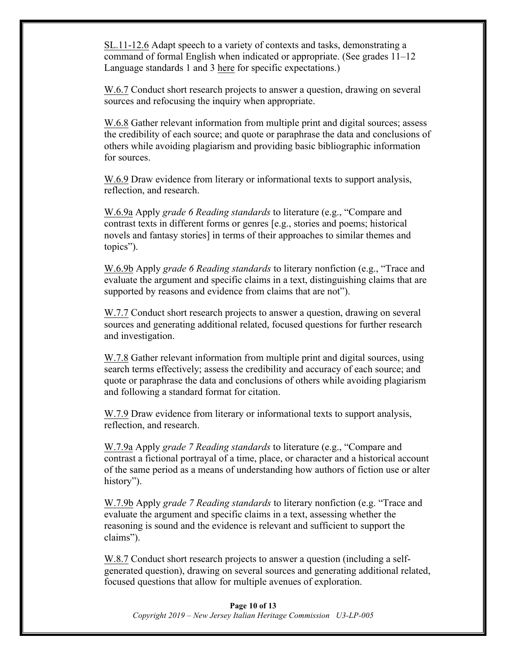SL.11-12.6 Adapt speech to a variety of contexts and tasks, demonstrating a command of formal English when indicated or appropriate. (See grades 11–12 Language standards 1 and 3 here for specific expectations.)

W.6.7 Conduct short research projects to answer a question, drawing on several sources and refocusing the inquiry when appropriate.

W.6.8 Gather relevant information from multiple print and digital sources; assess the credibility of each source; and quote or paraphrase the data and conclusions of others while avoiding plagiarism and providing basic bibliographic information for sources.

W.6.9 Draw evidence from literary or informational texts to support analysis, reflection, and research.

W.6.9a Apply *grade 6 Reading standards* to literature (e.g., "Compare and contrast texts in different forms or genres [e.g., stories and poems; historical novels and fantasy stories] in terms of their approaches to similar themes and topics").

W.6.9b Apply *grade 6 Reading standards* to literary nonfiction (e.g., "Trace and evaluate the argument and specific claims in a text, distinguishing claims that are supported by reasons and evidence from claims that are not").

W.7.7 Conduct short research projects to answer a question, drawing on several sources and generating additional related, focused questions for further research and investigation.

W.7.8 Gather relevant information from multiple print and digital sources, using search terms effectively; assess the credibility and accuracy of each source; and quote or paraphrase the data and conclusions of others while avoiding plagiarism and following a standard format for citation.

W.7.9 Draw evidence from literary or informational texts to support analysis, reflection, and research.

W.7.9a Apply *grade 7 Reading standards* to literature (e.g., "Compare and contrast a fictional portrayal of a time, place, or character and a historical account of the same period as a means of understanding how authors of fiction use or alter history").

W.7.9b Apply *grade 7 Reading standards* to literary nonfiction (e.g. "Trace and evaluate the argument and specific claims in a text, assessing whether the reasoning is sound and the evidence is relevant and sufficient to support the claims").

W.8.7 Conduct short research projects to answer a question (including a selfgenerated question), drawing on several sources and generating additional related, focused questions that allow for multiple avenues of exploration.

#### **Page 10 of 13** *Copyright 2019 – New Jersey Italian Heritage Commission U3-LP-005*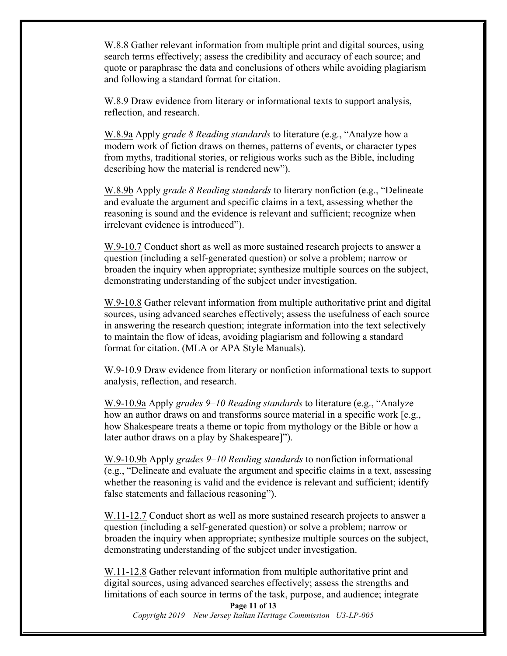W.8.8 Gather relevant information from multiple print and digital sources, using search terms effectively; assess the credibility and accuracy of each source; and quote or paraphrase the data and conclusions of others while avoiding plagiarism and following a standard format for citation.

W.8.9 Draw evidence from literary or informational texts to support analysis, reflection, and research.

W.8.9a Apply *grade 8 Reading standards* to literature (e.g., "Analyze how a modern work of fiction draws on themes, patterns of events, or character types from myths, traditional stories, or religious works such as the Bible, including describing how the material is rendered new").

W.8.9b Apply *grade 8 Reading standards* to literary nonfiction (e.g., "Delineate and evaluate the argument and specific claims in a text, assessing whether the reasoning is sound and the evidence is relevant and sufficient; recognize when irrelevant evidence is introduced").

W.9-10.7 Conduct short as well as more sustained research projects to answer a question (including a self-generated question) or solve a problem; narrow or broaden the inquiry when appropriate; synthesize multiple sources on the subject, demonstrating understanding of the subject under investigation.

W.9-10.8 Gather relevant information from multiple authoritative print and digital sources, using advanced searches effectively; assess the usefulness of each source in answering the research question; integrate information into the text selectively to maintain the flow of ideas, avoiding plagiarism and following a standard format for citation. (MLA or APA Style Manuals).

W.9-10.9 Draw evidence from literary or nonfiction informational texts to support analysis, reflection, and research.

W.9-10.9a Apply *grades 9–10 Reading standards* to literature (e.g., "Analyze how an author draws on and transforms source material in a specific work [e.g., how Shakespeare treats a theme or topic from mythology or the Bible or how a later author draws on a play by Shakespeare]").

W.9-10.9b Apply *grades 9–10 Reading standards* to nonfiction informational (e.g., "Delineate and evaluate the argument and specific claims in a text, assessing whether the reasoning is valid and the evidence is relevant and sufficient; identify false statements and fallacious reasoning").

W.11-12.7 Conduct short as well as more sustained research projects to answer a question (including a self-generated question) or solve a problem; narrow or broaden the inquiry when appropriate; synthesize multiple sources on the subject, demonstrating understanding of the subject under investigation.

W.11-12.8 Gather relevant information from multiple authoritative print and digital sources, using advanced searches effectively; assess the strengths and limitations of each source in terms of the task, purpose, and audience; integrate

**Page 11 of 13** *Copyright 2019 – New Jersey Italian Heritage Commission U3-LP-005*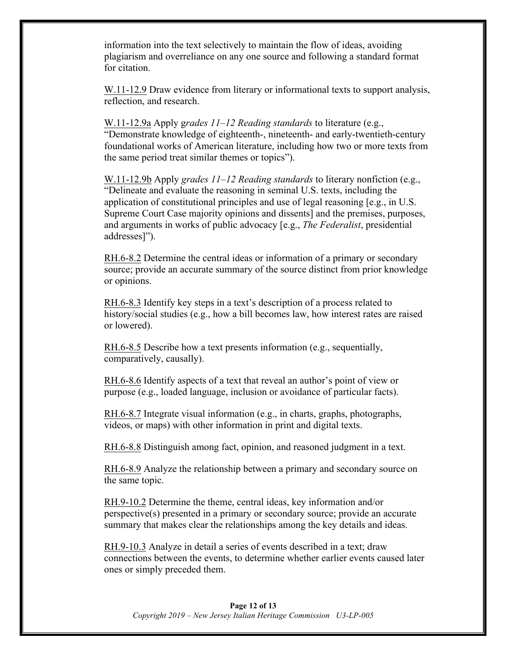information into the text selectively to maintain the flow of ideas, avoiding plagiarism and overreliance on any one source and following a standard format for citation.

W.11-12.9 Draw evidence from literary or informational texts to support analysis, reflection, and research.

W.11-12.9a Apply g*rades 11–12 Reading standards* to literature (e.g., "Demonstrate knowledge of eighteenth-, nineteenth- and early-twentieth-century foundational works of American literature, including how two or more texts from the same period treat similar themes or topics").

W.11-12.9b Apply *grades 11–12 Reading standards* to literary nonfiction (e.g., "Delineate and evaluate the reasoning in seminal U.S. texts, including the application of constitutional principles and use of legal reasoning [e.g., in U.S. Supreme Court Case majority opinions and dissents] and the premises, purposes, and arguments in works of public advocacy [e.g., *The Federalist*, presidential addresses]").

RH.6-8.2 Determine the central ideas or information of a primary or secondary source; provide an accurate summary of the source distinct from prior knowledge or opinions.

RH.6-8.3 Identify key steps in a text's description of a process related to history/social studies (e.g., how a bill becomes law, how interest rates are raised or lowered).

RH.6-8.5 Describe how a text presents information (e.g., sequentially, comparatively, causally).

RH.6-8.6 Identify aspects of a text that reveal an author's point of view or purpose (e.g., loaded language, inclusion or avoidance of particular facts).

RH.6-8.7 Integrate visual information (e.g., in charts, graphs, photographs, videos, or maps) with other information in print and digital texts.

RH.6-8.8 Distinguish among fact, opinion, and reasoned judgment in a text.

RH.6-8.9 Analyze the relationship between a primary and secondary source on the same topic.

RH.9-10.2 Determine the theme, central ideas, key information and/or perspective(s) presented in a primary or secondary source; provide an accurate summary that makes clear the relationships among the key details and ideas.

RH.9-10.3 Analyze in detail a series of events described in a text; draw connections between the events, to determine whether earlier events caused later ones or simply preceded them.